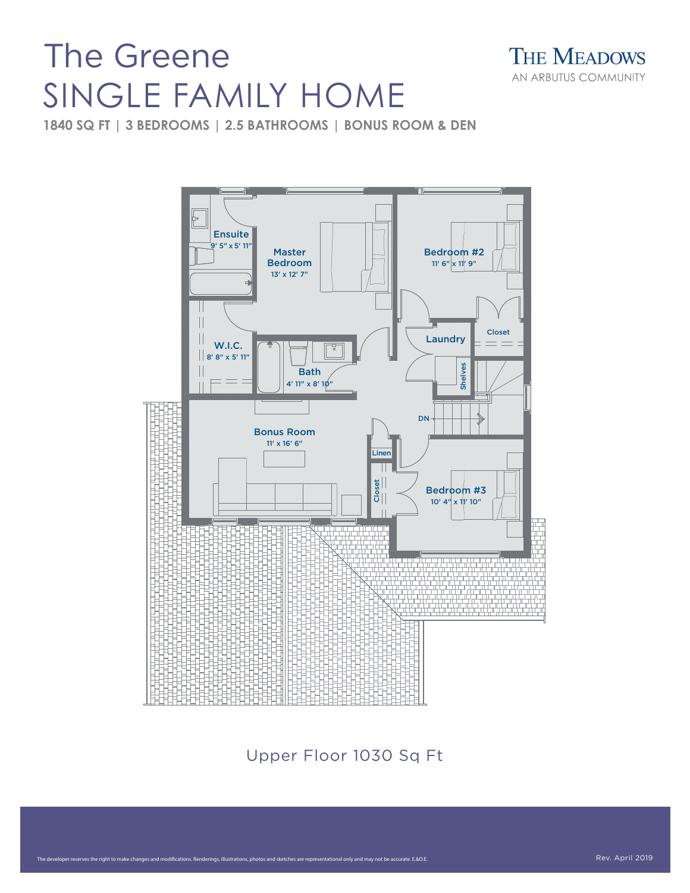## The Greene SINGLE FAMILY HOME



**1840 SQ FT | 3 BEDROOMS | 2.5 BATHROOMS | BONUS ROOM & DEN**



er reserves the right to make changes and modifications. Renderings, illustrations, photos and sketches are representational only and may not be accurate. E.&O.E.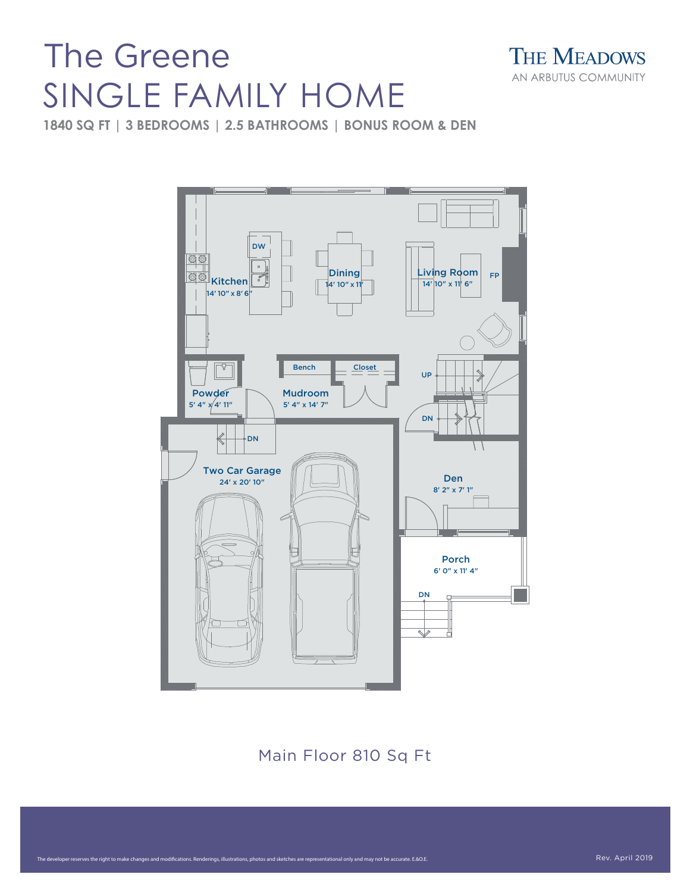## The Greene SINGLE FAMILY HOME



**1840 SQ FT | 3 BEDROOMS | 2.5 BATHROOMS | BONUS ROOM & DEN**



Main Floor 810 Sq Ft